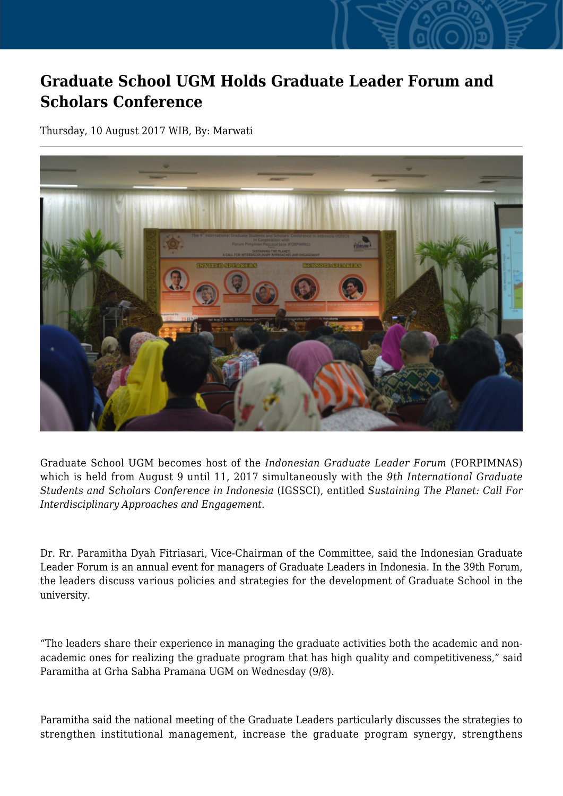## **Graduate School UGM Holds Graduate Leader Forum and Scholars Conference**

Thursday, 10 August 2017 WIB, By: Marwati



Graduate School UGM becomes host of the *Indonesian Graduate Leader Forum* (FORPIMNAS) which is held from August 9 until 11, 2017 simultaneously with the *9th International Graduate Students and Scholars Conference in Indonesia* (IGSSCI), entitled *Sustaining The Planet: Call For Interdisciplinary Approaches and Engagement.*

Dr. Rr. Paramitha Dyah Fitriasari, Vice-Chairman of the Committee, said the Indonesian Graduate Leader Forum is an annual event for managers of Graduate Leaders in Indonesia. In the 39th Forum, the leaders discuss various policies and strategies for the development of Graduate School in the university.

"The leaders share their experience in managing the graduate activities both the academic and nonacademic ones for realizing the graduate program that has high quality and competitiveness," said Paramitha at Grha Sabha Pramana UGM on Wednesday (9/8).

Paramitha said the national meeting of the Graduate Leaders particularly discusses the strategies to strengthen institutional management, increase the graduate program synergy, strengthens